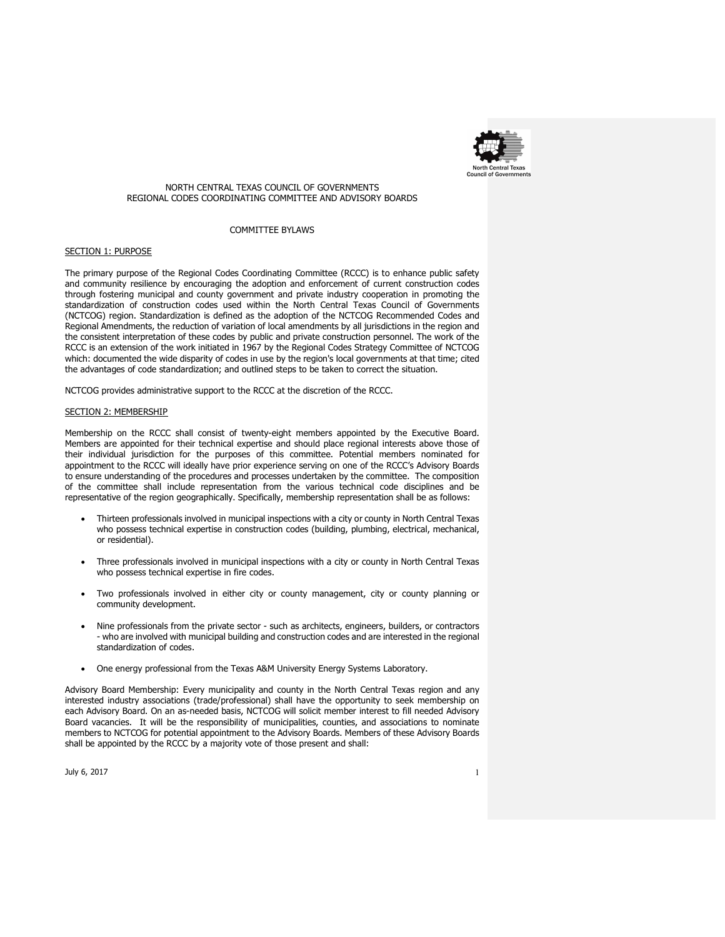

# NORTH CENTRAL TEXAS COUNCIL OF GOVERNMENTS REGIONAL CODES COORDINATING COMMITTEE AND ADVISORY BOARDS

## COMMITTEE BYLAWS

# SECTION 1: PURPOSE

The primary purpose of the Regional Codes Coordinating Committee (RCCC) is to enhance public safety and community resilience by encouraging the adoption and enforcement of current construction codes through fostering municipal and county government and private industry cooperation in promoting the standardization of construction codes used within the North Central Texas Council of Governments (NCTCOG) region. Standardization is defined as the adoption of the NCTCOG Recommended Codes and Regional Amendments, the reduction of variation of local amendments by all jurisdictions in the region and the consistent interpretation of these codes by public and private construction personnel. The work of the RCCC is an extension of the work initiated in 1967 by the Regional Codes Strategy Committee of NCTCOG which: documented the wide disparity of codes in use by the region's local governments at that time; cited the advantages of code standardization; and outlined steps to be taken to correct the situation.

NCTCOG provides administrative support to the RCCC at the discretion of the RCCC.

### SECTION 2: MEMBERSHIP

Membership on the RCCC shall consist of twenty-eight members appointed by the Executive Board. Members are appointed for their technical expertise and should place regional interests above those of their individual jurisdiction for the purposes of this committee. Potential members nominated for appointment to the RCCC will ideally have prior experience serving on one of the RCCC's Advisory Boards to ensure understanding of the procedures and processes undertaken by the committee. The composition of the committee shall include representation from the various technical code disciplines and be representative of the region geographically. Specifically, membership representation shall be as follows:

- Thirteen professionals involved in municipal inspections with a city or county in North Central Texas who possess technical expertise in construction codes (building, plumbing, electrical, mechanical, or residential).
- Three professionals involved in municipal inspections with a city or county in North Central Texas who possess technical expertise in fire codes.
- Two professionals involved in either city or county management, city or county planning or community development.
- Nine professionals from the private sector such as architects, engineers, builders, or contractors - who are involved with municipal building and construction codes and are interested in the regional standardization of codes.
- One energy professional from the Texas A&M University Energy Systems Laboratory.

Advisory Board Membership: Every municipality and county in the North Central Texas region and any interested industry associations (trade/professional) shall have the opportunity to seek membership on each Advisory Board. On an as-needed basis, NCTCOG will solicit member interest to fill needed Advisory Board vacancies. It will be the responsibility of municipalities, counties, and associations to nominate members to NCTCOG for potential appointment to the Advisory Boards. Members of these Advisory Boards shall be appointed by the RCCC by a majority vote of those present and shall:

July 6, 2017  $\qquad \qquad \qquad$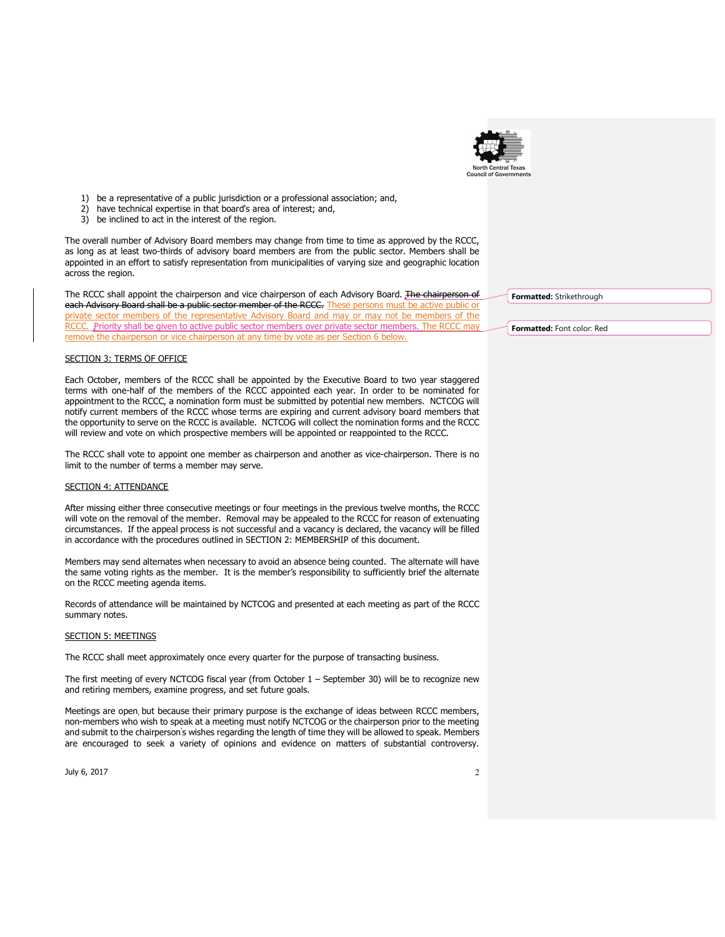

- 1) be a representative of a public jurisdiction or a professional association; and,
- 2) have technical expertise in that board's area of interest; and,
- 3) be inclined to act in the interest of the region.

The overall number of Advisory Board members may change from time to time as approved by the RCCC, as long as at least two-thirds of advisory board members are from the public sector. Members shall be appointed in an effort to satisfy representation from municipalities of varying size and geographic location across the region.

The RCCC shall appoint the chairperson and vice chairperson of each Advisory Board. The chairperson of each Advisory Board shall be a public sector member of the RCCC. These persons must be active public or private sector members of the representative Advisory Board and may or may not be members of the RCCC. Priority shall be given to active public sector members over private sector members. The RCCC may remove the chairperson or vice chairperson at any time by vote as per Section 6 below.

# **SECTION 3: TERMS OF OFFICE**

Each October, members of the RCCC shall be appointed by the Executive Board to two year staggered terms with one-half of the members of the RCCC appointed each year. In order to be nominated for appointment to the RCCC, a nomination form must be submitted by potential new members. NCTCOG will notify current members of the RCCC whose terms are expiring and current advisory board members that the opportunity to serve on the RCCC is available. NCTCOG will collect the nomination forms and the RCCC will review and vote on which prospective members will be appointed or reappointed to the RCCC.

The RCCC shall vote to appoint one member as chairperson and another as vice-chairperson. There is no limit to the number of terms a member may serve.

## SECTION 4: ATTENDANCE

After missing either three consecutive meetings or four meetings in the previous twelve months, the RCCC will vote on the removal of the member. Removal may be appealed to the RCCC for reason of extenuating circumstances. If the appeal process is not successful and a vacancy is declared, the vacancy will be filled in accordance with the procedures outlined in SECTION 2: MEMBERSHIP of this document.

Members may send alternates when necessary to avoid an absence being counted. The alternate will have the same voting rights as the member. It is the member's responsibility to sufficiently brief the alternate on the RCCC meeting agenda items.

Records of attendance will be maintained by NCTCOG and presented at each meeting as part of the RCCC summary notes.

### SECTION 5: MEETINGS

The RCCC shall meet approximately once every quarter for the purpose of transacting business.

The first meeting of every NCTCOG fiscal year (from October 1 – September 30) will be to recognize new and retiring members, examine progress, and set future goals.

Meetings are open, but because their primary purpose is the exchange of ideas between RCCC members, non-members who wish to speak at a meeting must notify NCTCOG or the chairperson prior to the meeting and submit to the chairperson's wishes regarding the length of time they will be allowed to speak. Members are encouraged to seek a variety of opinions and evidence on matters of substantial controversy.

July 6, 2017  $\hphantom{\text{u}}$ 

Formatted: Strikethrough

Formatted: Font color: Red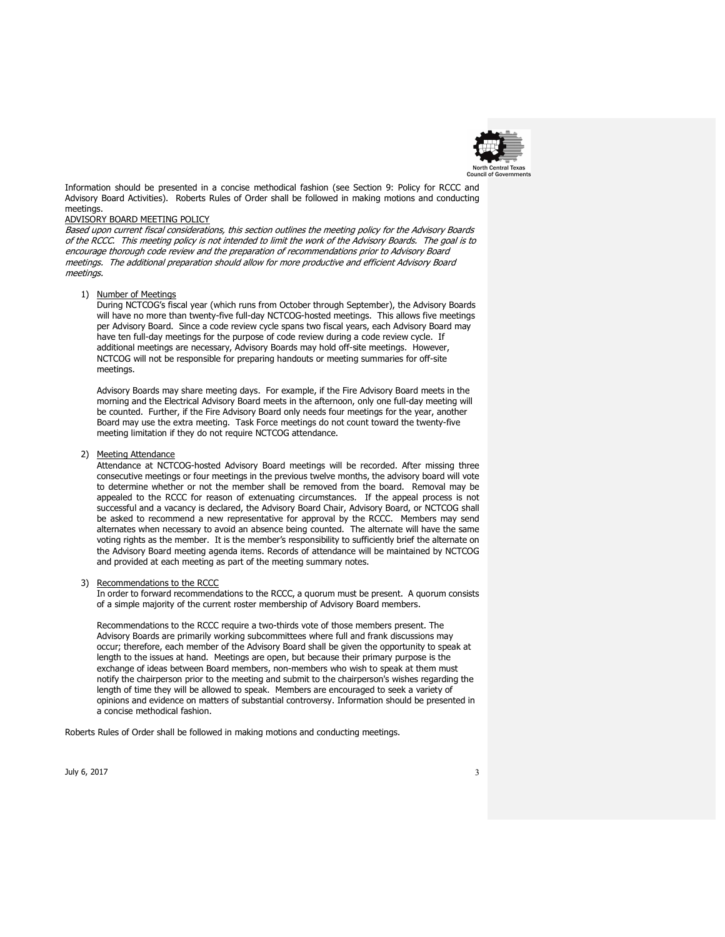

Information should be presented in a concise methodical fashion (see Section 9: Policy for RCCC and Advisory Board Activities). Roberts Rules of Order shall be followed in making motions and conducting meetings.

# ADVISORY BOARD MEETING POLICY

Based upon current fiscal considerations, this section outlines the meeting policy for the Advisory Boards of the RCCC. This meeting policy is not intended to limit the work of the Advisory Boards. The goal is to encourage thorough code review and the preparation of recommendations prior to Advisory Board meetings. The additional preparation should allow for more productive and efficient Advisory Board meetings.

#### 1) Number of Meetings

During NCTCOG's fiscal year (which runs from October through September), the Advisory Boards will have no more than twenty-five full-day NCTCOG-hosted meetings. This allows five meetings per Advisory Board. Since a code review cycle spans two fiscal years, each Advisory Board may have ten full-day meetings for the purpose of code review during a code review cycle. If additional meetings are necessary, Advisory Boards may hold off-site meetings. However, NCTCOG will not be responsible for preparing handouts or meeting summaries for off-site meetings.

Advisory Boards may share meeting days. For example, if the Fire Advisory Board meets in the morning and the Electrical Advisory Board meets in the afternoon, only one full-day meeting will be counted. Further, if the Fire Advisory Board only needs four meetings for the year, another Board may use the extra meeting. Task Force meetings do not count toward the twenty-five meeting limitation if they do not require NCTCOG attendance.

#### 2) Meeting Attendance

Attendance at NCTCOG-hosted Advisory Board meetings will be recorded. After missing three consecutive meetings or four meetings in the previous twelve months, the advisory board will vote to determine whether or not the member shall be removed from the board. Removal may be appealed to the RCCC for reason of extenuating circumstances. If the appeal process is not successful and a vacancy is declared, the Advisory Board Chair, Advisory Board, or NCTCOG shall be asked to recommend a new representative for approval by the RCCC. Members may send alternates when necessary to avoid an absence being counted. The alternate will have the same voting rights as the member. It is the member's responsibility to sufficiently brief the alternate on the Advisory Board meeting agenda items. Records of attendance will be maintained by NCTCOG and provided at each meeting as part of the meeting summary notes.

#### 3) Recommendations to the RCCC

In order to forward recommendations to the RCCC, a quorum must be present. A quorum consists of a simple majority of the current roster membership of Advisory Board members.

Recommendations to the RCCC require a two-thirds vote of those members present. The Advisory Boards are primarily working subcommittees where full and frank discussions may occur; therefore, each member of the Advisory Board shall be given the opportunity to speak at length to the issues at hand. Meetings are open, but because their primary purpose is the exchange of ideas between Board members, non-members who wish to speak at them must notify the chairperson prior to the meeting and submit to the chairperson's wishes regarding the length of time they will be allowed to speak. Members are encouraged to seek a variety of opinions and evidence on matters of substantial controversy. Information should be presented in a concise methodical fashion.

Roberts Rules of Order shall be followed in making motions and conducting meetings.

July 6, 2017  $\overline{\phantom{a}}$  3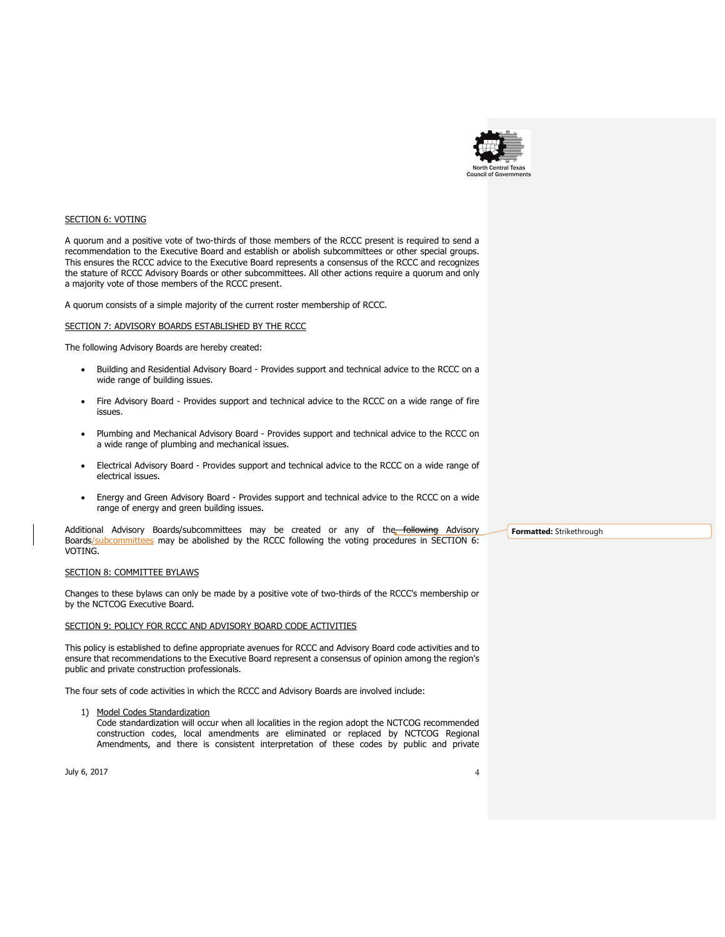

## SECTION 6: VOTING

A quorum and a positive vote of two-thirds of those members of the RCCC present is required to send a recommendation to the Executive Board and establish or abolish subcommittees or other special groups. This ensures the RCCC advice to the Executive Board represents a consensus of the RCCC and recognizes the stature of RCCC Advisory Boards or other subcommittees. All other actions require a quorum and only a majority vote of those members of the RCCC present.

A quorum consists of a simple majority of the current roster membership of RCCC.

## SECTION 7: ADVISORY BOARDS ESTABLISHED BY THE RCCC

The following Advisory Boards are hereby created:

- Building and Residential Advisory Board Provides support and technical advice to the RCCC on a wide range of building issues.
- Fire Advisory Board Provides support and technical advice to the RCCC on a wide range of fire issues.
- Plumbing and Mechanical Advisory Board Provides support and technical advice to the RCCC on a wide range of plumbing and mechanical issues.
- Electrical Advisory Board Provides support and technical advice to the RCCC on a wide range of electrical issues.
- Energy and Green Advisory Board Provides support and technical advice to the RCCC on a wide range of energy and green building issues.

Additional Advisory Boards/subcommittees may be created or any of the following Advisory Boards/subcommittees may be abolished by the RCCC following the voting procedures in SECTION 6: VOTING.

# SECTION 8: COMMITTEE BYLAWS

Changes to these bylaws can only be made by a positive vote of two-thirds of the RCCC's membership or by the NCTCOG Executive Board.

## SECTION 9: POLICY FOR RCCC AND ADVISORY BOARD CODE ACTIVITIES

This policy is established to define appropriate avenues for RCCC and Advisory Board code activities and to ensure that recommendations to the Executive Board represent a consensus of opinion among the region's public and private construction professionals.

The four sets of code activities in which the RCCC and Advisory Boards are involved include:

1) Model Codes Standardization

Code standardization will occur when all localities in the region adopt the NCTCOG recommended construction codes, local amendments are eliminated or replaced by NCTCOG Regional Amendments, and there is consistent interpretation of these codes by public and private

July 6, 2017  $\sim$  4  $\sim$  4  $\sim$  4  $\sim$  4  $\sim$  4  $\sim$  4  $\sim$  4  $\sim$  4  $\sim$  4  $\sim$  4  $\sim$  4  $\sim$  4  $\sim$  4  $\sim$  4  $\sim$  4  $\sim$  4  $\sim$  4  $\sim$  4  $\sim$  4  $\sim$  4  $\sim$  4  $\sim$  4  $\sim$  4  $\sim$  4  $\sim$  4  $\sim$  4  $\sim$  4  $\sim$  4  $\sim$  4  $\sim$ 

Formatted: Strikethrough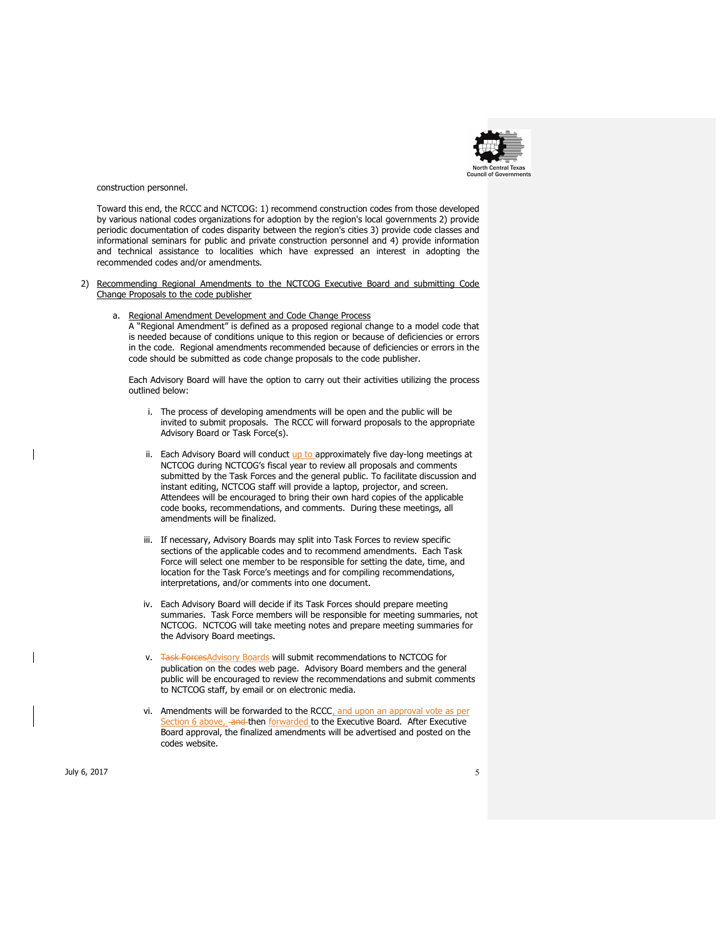

construction personnel.

Toward this end, the RCCC and NCTCOG: 1) recommend construction codes from those developed by various national codes organizations for adoption by the region's local governments 2) provide periodic documentation of codes disparity between the region's cities 3) provide code classes and informational seminars for public and private construction personnel and 4) provide information and technical assistance to localities which have expressed an interest in adopting the recommended codes and/or amendments.

- 2) Recommending Regional Amendments to the NCTCOG Executive Board and submitting Code Change Proposals to the code publisher
	- a. Regional Amendment Development and Code Change Process

A "Regional Amendment" is defined as a proposed regional change to a model code that is needed because of conditions unique to this region or because of deficiencies or errors in the code. Regional amendments recommended because of deficiencies or errors in the code should be submitted as code change proposals to the code publisher.

Each Advisory Board will have the option to carry out their activities utilizing the process outlined below:

- i. The process of developing amendments will be open and the public will be invited to submit proposals. The RCCC will forward proposals to the appropriate Advisory Board or Task Force(s).
- ii. Each Advisory Board will conduct up to approximately five day-long meetings at NCTCOG during NCTCOG's fiscal year to review all proposals and comments submitted by the Task Forces and the general public. To facilitate discussion and instant editing, NCTCOG staff will provide a laptop, projector, and screen. Attendees will be encouraged to bring their own hard copies of the applicable code books, recommendations, and comments. During these meetings, all amendments will be finalized.
- iii. If necessary, Advisory Boards may split into Task Forces to review specific sections of the applicable codes and to recommend amendments. Each Task Force will select one member to be responsible for setting the date, time, and location for the Task Force's meetings and for compiling recommendations, interpretations, and/or comments into one document.
- iv. Each Advisory Board will decide if its Task Forces should prepare meeting summaries. Task Force members will be responsible for meeting summaries, not NCTCOG. NCTCOG will take meeting notes and prepare meeting summaries for the Advisory Board meetings.
- v. Task ForcesAdvisory Boards will submit recommendations to NCTCOG for publication on the codes web page. Advisory Board members and the general public will be encouraged to review the recommendations and submit comments to NCTCOG staff, by email or on electronic media.
- vi. Amendments will be forwarded to the RCCC, and upon an approval vote as per ection 6 above, and then forwarded to the Executive Board. After Executive Board approval, the finalized amendments will be advertised and posted on the codes website.

July 6, 2017  $\,$  5  $\,$